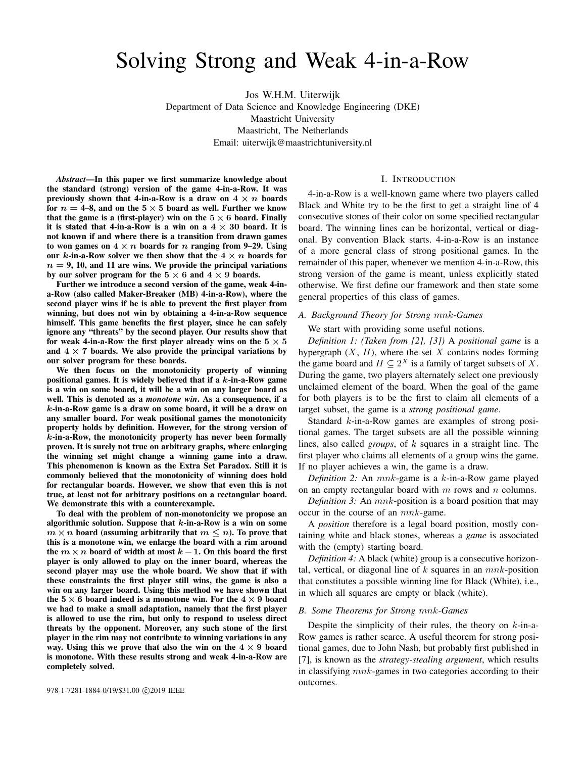# Solving Strong and Weak 4-in-a-Row

Jos W.H.M. Uiterwijk

Department of Data Science and Knowledge Engineering (DKE) Maastricht University Maastricht, The Netherlands Email: uiterwijk@maastrichtuniversity.nl

*Abstract*—In this paper we first summarize knowledge about the standard (strong) version of the game 4-in-a-Row. It was previously shown that 4-in-a-Row is a draw on  $4 \times n$  boards for  $n = 4-8$ , and on the  $5 \times 5$  board as well. Further we know that the game is a (first-player) win on the  $5 \times 6$  board. Finally it is stated that 4-in-a-Row is a win on a  $4 \times 30$  board. It is not known if and where there is a transition from drawn games to won games on  $4 \times n$  boards for n ranging from 9–29. Using our k-in-a-Row solver we then show that the  $4 \times n$  boards for  $n = 9, 10,$  and 11 are wins. We provide the principal variations by our solver program for the  $5 \times 6$  and  $4 \times 9$  boards.

Further we introduce a second version of the game, weak 4-ina-Row (also called Maker-Breaker (MB) 4-in-a-Row), where the second player wins if he is able to prevent the first player from winning, but does not win by obtaining a 4-in-a-Row sequence himself. This game benefits the first player, since he can safely ignore any "threats" by the second player. Our results show that for weak 4-in-a-Row the first player already wins on the  $5 \times 5$ and  $4 \times 7$  boards. We also provide the principal variations by our solver program for these boards.

We then focus on the monotonicity property of winning positional games. It is widely believed that if a  $k$ -in-a-Row game is a win on some board, it will be a win on any larger board as well. This is denoted as a *monotone win*. As a consequence, if a k-in-a-Row game is a draw on some board, it will be a draw on any smaller board. For weak positional games the monotonicity property holds by definition. However, for the strong version of k-in-a-Row, the monotonicity property has never been formally proven. It is surely not true on arbitrary graphs, where enlarging the winning set might change a winning game into a draw. This phenomenon is known as the Extra Set Paradox. Still it is commonly believed that the monotonicity of winning does hold for rectangular boards. However, we show that even this is not true, at least not for arbitrary positions on a rectangular board. We demonstrate this with a counterexample.

To deal with the problem of non-monotonicity we propose an algorithmic solution. Suppose that  $k$ -in-a-Row is a win on some  $m \times n$  board (assuming arbitrarily that  $m \leq n$ ). To prove that this is a monotone win, we enlarge the board with a rim around the  $m \times n$  board of width at most  $k - 1$ . On this board the first player is only allowed to play on the inner board, whereas the second player may use the whole board. We show that if with these constraints the first player still wins, the game is also a win on any larger board. Using this method we have shown that the  $5 \times 6$  board indeed is a monotone win. For the  $4 \times 9$  board we had to make a small adaptation, namely that the first player is allowed to use the rim, but only to respond to useless direct threats by the opponent. Moreover, any such stone of the first player in the rim may not contribute to winning variations in any way. Using this we prove that also the win on the  $4 \times 9$  board is monotone. With these results strong and weak 4-in-a-Row are completely solved.

#### I. INTRODUCTION

4-in-a-Row is a well-known game where two players called Black and White try to be the first to get a straight line of 4 consecutive stones of their color on some specified rectangular board. The winning lines can be horizontal, vertical or diagonal. By convention Black starts. 4-in-a-Row is an instance of a more general class of strong positional games. In the remainder of this paper, whenever we mention 4-in-a-Row, this strong version of the game is meant, unless explicitly stated otherwise. We first define our framework and then state some general properties of this class of games.

## *A. Background Theory for Strong* mnk*-Games*

We start with providing some useful notions.

*Definition 1: (Taken from [2], [3])* A *positional game* is a hypergraph  $(X, H)$ , where the set X contains nodes forming the game board and  $H \subseteq 2^X$  is a family of target subsets of X. During the game, two players alternately select one previously unclaimed element of the board. When the goal of the game for both players is to be the first to claim all elements of a target subset, the game is a *strong positional game*.

Standard k-in-a-Row games are examples of strong positional games. The target subsets are all the possible winning lines, also called *groups*, of k squares in a straight line. The first player who claims all elements of a group wins the game. If no player achieves a win, the game is a draw.

*Definition 2:* An mnk-game is a k-in-a-Row game played on an empty rectangular board with  $m$  rows and  $n$  columns.

*Definition 3:* An mnk-position is a board position that may occur in the course of an mnk-game.

A *position* therefore is a legal board position, mostly containing white and black stones, whereas a *game* is associated with the (empty) starting board.

*Definition 4:* A black (white) group is a consecutive horizontal, vertical, or diagonal line of  $k$  squares in an  $mnk$ -position that constitutes a possible winning line for Black (White), i.e., in which all squares are empty or black (white).

#### *B. Some Theorems for Strong* mnk*-Games*

Despite the simplicity of their rules, the theory on  $k$ -in-a-Row games is rather scarce. A useful theorem for strong positional games, due to John Nash, but probably first published in [7], is known as the *strategy-stealing argument*, which results in classifying  $mnk$ -games in two categories according to their outcomes.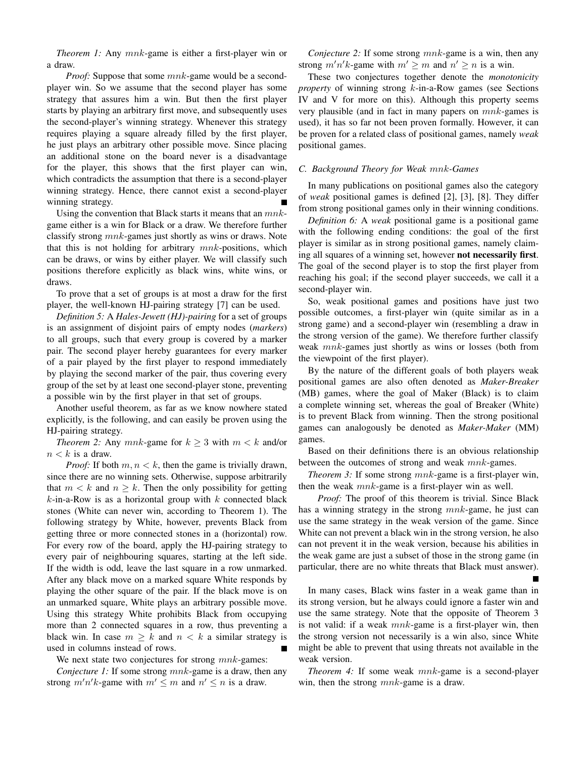*Theorem 1:* Any *mnk*-game is either a first-player win or a draw.

*Proof:* Suppose that some  $mnk$ -game would be a secondplayer win. So we assume that the second player has some strategy that assures him a win. But then the first player starts by playing an arbitrary first move, and subsequently uses the second-player's winning strategy. Whenever this strategy requires playing a square already filled by the first player, he just plays an arbitrary other possible move. Since placing an additional stone on the board never is a disadvantage for the player, this shows that the first player can win, which contradicts the assumption that there is a second-player winning strategy. Hence, there cannot exist a second-player winning strategy.

Using the convention that Black starts it means that an  $mnk$ game either is a win for Black or a draw. We therefore further classify strong  $mnk$ -games just shortly as wins or draws. Note that this is not holding for arbitrary  $mnk$ -positions, which can be draws, or wins by either player. We will classify such positions therefore explicitly as black wins, white wins, or draws.

To prove that a set of groups is at most a draw for the first player, the well-known HJ-pairing strategy [7] can be used.

*Definition 5:* A *Hales-Jewett (HJ)-pairing* for a set of groups is an assignment of disjoint pairs of empty nodes (*markers*) to all groups, such that every group is covered by a marker pair. The second player hereby guarantees for every marker of a pair played by the first player to respond immediately by playing the second marker of the pair, thus covering every group of the set by at least one second-player stone, preventing a possible win by the first player in that set of groups.

Another useful theorem, as far as we know nowhere stated explicitly, is the following, and can easily be proven using the HJ-pairing strategy.

*Theorem 2:* Any  $mnk$ -game for  $k \geq 3$  with  $m < k$  and/or  $n < k$  is a draw.

*Proof:* If both  $m, n \leq k$ , then the game is trivially drawn, since there are no winning sets. Otherwise, suppose arbitrarily that  $m < k$  and  $n \geq k$ . Then the only possibility for getting  $k$ -in-a-Row is as a horizontal group with  $k$  connected black stones (White can never win, according to Theorem 1). The following strategy by White, however, prevents Black from getting three or more connected stones in a (horizontal) row. For every row of the board, apply the HJ-pairing strategy to every pair of neighbouring squares, starting at the left side. If the width is odd, leave the last square in a row unmarked. After any black move on a marked square White responds by playing the other square of the pair. If the black move is on an unmarked square, White plays an arbitrary possible move. Using this strategy White prohibits Black from occupying more than 2 connected squares in a row, thus preventing a black win. In case  $m \geq k$  and  $n < k$  a similar strategy is used in columns instead of rows.

We next state two conjectures for strong  $mnk$ -games:

*Conjecture 1:* If some strong  $mnk$ -game is a draw, then any strong  $m'n'k$ -game with  $m' \leq m$  and  $n' \leq n$  is a draw.

*Conjecture 2:* If some strong mnk-game is a win, then any strong  $m'n'k$ -game with  $m' \geq m$  and  $n' \geq n$  is a win.

These two conjectures together denote the *monotonicity property* of winning strong k-in-a-Row games (see Sections IV and V for more on this). Although this property seems very plausible (and in fact in many papers on  $mnk$ -games is used), it has so far not been proven formally. However, it can be proven for a related class of positional games, namely *weak* positional games.

## *C. Background Theory for Weak* mnk*-Games*

In many publications on positional games also the category of *weak* positional games is defined [2], [3], [8]. They differ from strong positional games only in their winning conditions.

*Definition 6:* A *weak* positional game is a positional game with the following ending conditions: the goal of the first player is similar as in strong positional games, namely claiming all squares of a winning set, however not necessarily first. The goal of the second player is to stop the first player from reaching his goal; if the second player succeeds, we call it a second-player win.

So, weak positional games and positions have just two possible outcomes, a first-player win (quite similar as in a strong game) and a second-player win (resembling a draw in the strong version of the game). We therefore further classify weak mnk-games just shortly as wins or losses (both from the viewpoint of the first player).

By the nature of the different goals of both players weak positional games are also often denoted as *Maker-Breaker* (MB) games, where the goal of Maker (Black) is to claim a complete winning set, whereas the goal of Breaker (White) is to prevent Black from winning. Then the strong positional games can analogously be denoted as *Maker-Maker* (MM) games.

Based on their definitions there is an obvious relationship between the outcomes of strong and weak mnk-games.

*Theorem 3:* If some strong mnk-game is a first-player win, then the weak  $mnk$ -game is a first-player win as well.

*Proof:* The proof of this theorem is trivial. Since Black has a winning strategy in the strong  $mnk$ -game, he just can use the same strategy in the weak version of the game. Since White can not prevent a black win in the strong version, he also can not prevent it in the weak version, because his abilities in the weak game are just a subset of those in the strong game (in particular, there are no white threats that Black must answer).

In many cases, Black wins faster in a weak game than in its strong version, but he always could ignore a faster win and use the same strategy. Note that the opposite of Theorem 3 is not valid: if a weak  $mnk$ -game is a first-player win, then the strong version not necessarily is a win also, since White might be able to prevent that using threats not available in the weak version.

*Theorem 4:* If some weak mnk-game is a second-player win, then the strong  $mnk$ -game is a draw.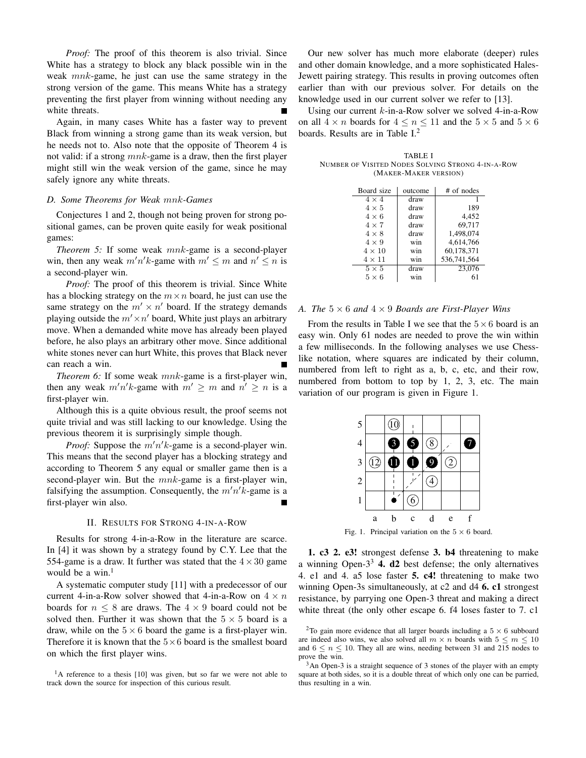*Proof:* The proof of this theorem is also trivial. Since White has a strategy to block any black possible win in the weak mnk-game, he just can use the same strategy in the strong version of the game. This means White has a strategy preventing the first player from winning without needing any white threats.

Again, in many cases White has a faster way to prevent Black from winning a strong game than its weak version, but he needs not to. Also note that the opposite of Theorem 4 is not valid: if a strong  $mnk$ -game is a draw, then the first player might still win the weak version of the game, since he may safely ignore any white threats.

#### *D. Some Theorems for Weak* mnk*-Games*

Conjectures 1 and 2, though not being proven for strong positional games, can be proven quite easily for weak positional games:

*Theorem 5:* If some weak mnk-game is a second-player win, then any weak  $m'n'k$ -game with  $m' \leq m$  and  $n' \leq n$  is a second-player win.

*Proof:* The proof of this theorem is trivial. Since White has a blocking strategy on the  $m \times n$  board, he just can use the same strategy on the  $m' \times n'$  board. If the strategy demands playing outside the  $m' \times n'$  board, White just plays an arbitrary move. When a demanded white move has already been played before, he also plays an arbitrary other move. Since additional white stones never can hurt White, this proves that Black never can reach a win.

*Theorem 6:* If some weak mnk-game is a first-player win, then any weak  $m'n'k$ -game with  $m' \geq m$  and  $n' \geq n$  is a first-player win.

Although this is a quite obvious result, the proof seems not quite trivial and was still lacking to our knowledge. Using the previous theorem it is surprisingly simple though.

*Proof:* Suppose the  $m'n'k$ -game is a second-player win. This means that the second player has a blocking strategy and according to Theorem 5 any equal or smaller game then is a second-player win. But the  $mnk$ -game is a first-player win, falsifying the assumption. Consequently, the  $m'n'k$ -game is a first-player win also.

#### II. RESULTS FOR STRONG 4-IN-A-ROW

Results for strong 4-in-a-Row in the literature are scarce. In [4] it was shown by a strategy found by C.Y. Lee that the 554-game is a draw. It further was stated that the  $4 \times 30$  game would be a win. $<sup>1</sup>$ </sup>

A systematic computer study [11] with a predecessor of our current 4-in-a-Row solver showed that 4-in-a-Row on  $4 \times n$ boards for  $n \leq 8$  are draws. The  $4 \times 9$  board could not be solved then. Further it was shown that the  $5 \times 5$  board is a draw, while on the  $5 \times 6$  board the game is a first-player win. Therefore it is known that the  $5\times 6$  board is the smallest board on which the first player wins.

Our new solver has much more elaborate (deeper) rules and other domain knowledge, and a more sophisticated Hales-Jewett pairing strategy. This results in proving outcomes often earlier than with our previous solver. For details on the knowledge used in our current solver we refer to [13].

Using our current  $k$ -in-a-Row solver we solved 4-in-a-Row on all  $4 \times n$  boards for  $4 \leq n \leq 11$  and the  $5 \times 5$  and  $5 \times 6$ boards. Results are in Table I.<sup>2</sup>

TABLE I NUMBER OF VISITED NODES SOLVING STRONG 4-IN-A-ROW (MAKER-MAKER VERSION)

| Board size    | outcome | # of nodes  |  |
|---------------|---------|-------------|--|
| $4 \times 4$  | draw    |             |  |
| $4 \times 5$  | draw    | 189         |  |
| $4 \times 6$  | draw    | 4.452       |  |
| $4 \times 7$  | draw    | 69.717      |  |
| $4 \times 8$  | draw    | 1.498.074   |  |
| $4 \times 9$  | win     | 4,614,766   |  |
| $4 \times 10$ | win     | 60,178,371  |  |
| $4 \times 11$ | win     | 536,741,564 |  |
| $5 \times 5$  | draw    | 23,076      |  |
| $5 \times 6$  | win     |             |  |

#### *A. The* 5 × 6 *and* 4 × 9 *Boards are First-Player Wins*

From the results in Table I we see that the  $5 \times 6$  board is an easy win. Only 61 nodes are needed to prove the win within a few milliseconds. In the following analyses we use Chesslike notation, where squares are indicated by their column, numbered from left to right as a, b, c, etc, and their row, numbered from bottom to top by 1, 2, 3, etc. The main variation of our program is given in Figure 1.

| 5                        |   | 10 |              |   |   |   |
|--------------------------|---|----|--------------|---|---|---|
| $\overline{\mathcal{L}}$ |   | 3  | ē            | 8 |   | I |
| $\overline{3}$           |   |    |              |   | 2 |   |
| $\overline{2}$           |   |    |              |   |   |   |
| 1                        |   |    | 6            |   |   |   |
|                          | a | h  | $\mathbf{C}$ | d | e |   |

Fig. 1. Principal variation on the  $5 \times 6$  board.

1. c3 2. e3! strongest defense 3. b4 threatening to make a winning Open- $3<sup>3</sup>$  4. d2 best defense; the only alternatives 4. e1 and 4. a5 lose faster 5. c4! threatening to make two winning Open-3s simultaneously, at c2 and d4 **6. c1** strongest resistance, by parrying one Open-3 threat and making a direct white threat (the only other escape 6. f4 loses faster to 7. c1

 $<sup>1</sup>A$  reference to a thesis [10] was given, but so far we were not able to</sup> track down the source for inspection of this curious result.

<sup>&</sup>lt;sup>2</sup>To gain more evidence that all larger boards including a  $5 \times 6$  subboard are indeed also wins, we also solved all  $m \times n$  boards with  $5 \le m \le 10$ and  $6 \le n \le 10$ . They all are wins, needing between 31 and 215 nodes to prove the win.

<sup>&</sup>lt;sup>3</sup>An Open-3 is a straight sequence of 3 stones of the player with an empty square at both sides, so it is a double threat of which only one can be parried, thus resulting in a win.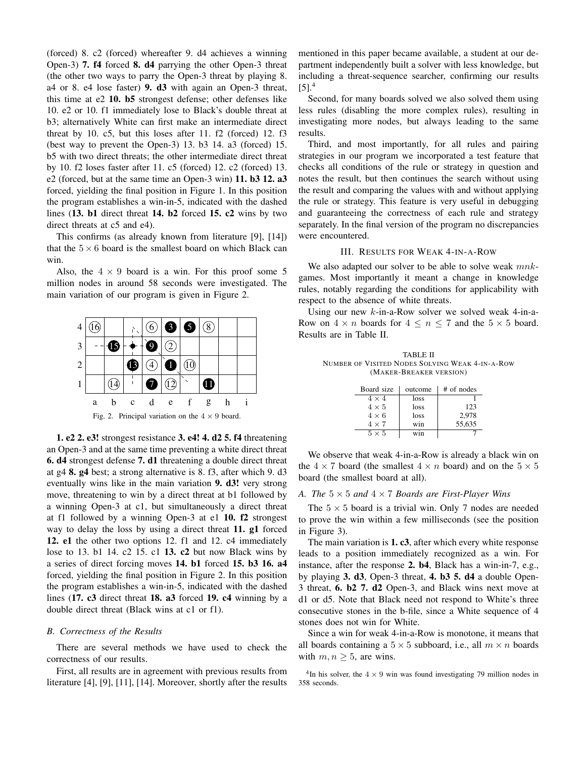(forced) 8. c2 (forced) whereafter 9. d4 achieves a winning Open-3) 7. f4 forced 8. d4 parrying the other Open-3 threat (the other two ways to parry the Open-3 threat by playing 8. a4 or 8. e4 lose faster) 9. d3 with again an Open-3 threat, this time at e2 10. b5 strongest defense; other defenses like 10. e2 or 10. f1 immediately lose to Black's double threat at b3; alternatively White can first make an intermediate direct threat by 10. c5, but this loses after 11. f2 (forced) 12. f3 (best way to prevent the Open-3) 13. b3 14. a3 (forced) 15. b5 with two direct threats; the other intermediate direct threat by 10. f2 loses faster after 11. c5 (forced) 12. c2 (forced) 13. e2 (forced, but at the same time an Open-3 win) 11. b3 12. a3 forced, yielding the final position in Figure 1. In this position the program establishes a win-in-5, indicated with the dashed lines (13. b1 direct threat 14. b2 forced 15. c2 wins by two direct threats at c5 and e4).

This confirms (as already known from literature [9], [14]) that the  $5 \times 6$  board is the smallest board on which Black can win.

Also, the  $4 \times 9$  board is a win. For this proof some 5 million nodes in around 58 seconds were investigated. The main variation of our program is given in Figure 2.



1. e2 2. e3! strongest resistance 3. e4! 4. d2 5. f4 threatening an Open-3 and at the same time preventing a white direct threat 6. d4 strongest defense 7. d1 threatening a double direct threat at g4 8. g4 best; a strong alternative is 8. f3, after which 9. d3 eventually wins like in the main variation 9. d3! very strong move, threatening to win by a direct threat at b1 followed by a winning Open-3 at c1, but simultaneously a direct threat at f1 followed by a winning Open-3 at e1 10. f2 strongest way to delay the loss by using a direct threat 11. g1 forced 12. e1 the other two options 12. f1 and 12. c4 immediately lose to 13. b1 14. c2 15. c1 13. c2 but now Black wins by a series of direct forcing moves 14. b1 forced 15. b3 16. a4 forced, yielding the final position in Figure 2. In this position the program establishes a win-in-5, indicated with the dashed lines (17. c3 direct threat 18. a3 forced 19. c4 winning by a double direct threat (Black wins at c1 or f1).

#### *B. Correctness of the Results*

There are several methods we have used to check the correctness of our results.

First, all results are in agreement with previous results from literature [4], [9], [11], [14]. Moreover, shortly after the results mentioned in this paper became available, a student at our department independently built a solver with less knowledge, but including a threat-sequence searcher, confirming our results  $[5]^{4}$ 

Second, for many boards solved we also solved them using less rules (disabling the more complex rules), resulting in investigating more nodes, but always leading to the same results.

Third, and most importantly, for all rules and pairing strategies in our program we incorporated a test feature that checks all conditions of the rule or strategy in question and notes the result, but then continues the search without using the result and comparing the values with and without applying the rule or strategy. This feature is very useful in debugging and guaranteeing the correctness of each rule and strategy separately. In the final version of the program no discrepancies were encountered.

## III. RESULTS FOR WEAK 4-IN-A-ROW

We also adapted our solver to be able to solve weak  $mnk$ games. Most importantly it meant a change in knowledge rules, notably regarding the conditions for applicability with respect to the absence of white threats.

Using our new  $k$ -in-a-Row solver we solved weak 4-in-a-Row on  $4 \times n$  boards for  $4 \leq n \leq 7$  and the  $5 \times 5$  board. Results are in Table II.

TABLE II NUMBER OF VISITED NODES SOLVING WEAK 4-IN-A-ROW (MAKER-BREAKER VERSION)

| Board size   | outcome | $#$ of nodes |
|--------------|---------|--------------|
| $4 \times 4$ | loss    |              |
| $4 \times 5$ | loss    | 123          |
| $4 \times 6$ | loss    | 2.978        |
| $4 \times 7$ | win     | 55.635       |
| $5 \times 5$ |         |              |

We observe that weak 4-in-a-Row is already a black win on the  $4 \times 7$  board (the smallest  $4 \times n$  board) and on the  $5 \times 5$ board (the smallest board at all).

## *A. The* 5 × 5 *and* 4 × 7 *Boards are First-Player Wins*

The  $5 \times 5$  board is a trivial win. Only 7 nodes are needed to prove the win within a few milliseconds (see the position in Figure 3).

The main variation is 1. c3, after which every white response leads to a position immediately recognized as a win. For instance, after the response 2. b4, Black has a win-in-7, e.g., by playing 3. d3, Open-3 threat, 4. b3 5. d4 a double Open-3 threat, 6. b2 7. d2 Open-3, and Black wins next move at d1 or d5. Note that Black need not respond to White's three consecutive stones in the b-file, since a White sequence of 4 stones does not win for White.

Since a win for weak 4-in-a-Row is monotone, it means that all boards containing a  $5 \times 5$  subboard, i.e., all  $m \times n$  boards with  $m, n \geq 5$ , are wins.

<sup>4</sup>In his solver, the  $4 \times 9$  win was found investigating 79 million nodes in 358 seconds.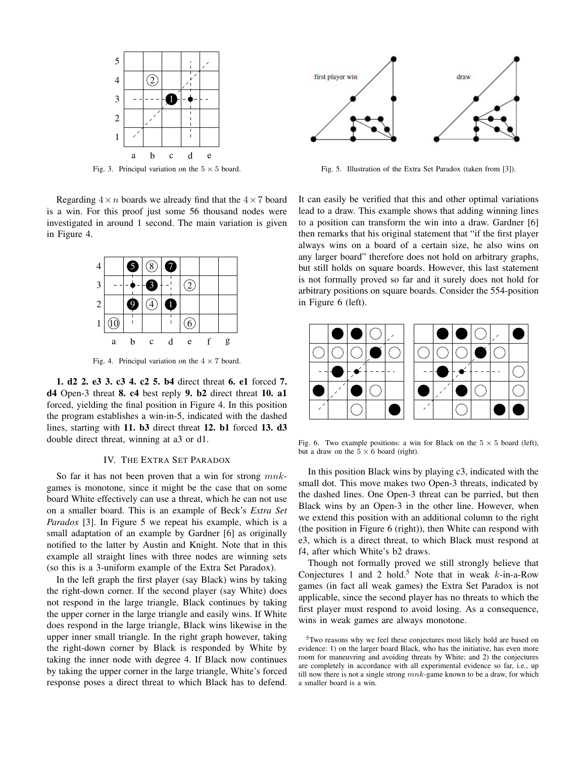

Fig. 3. Principal variation on the  $5 \times 5$  board.

Regarding  $4 \times n$  boards we already find that the  $4 \times 7$  board is a win. For this proof just some 56 thousand nodes were investigated in around 1 second. The main variation is given in Figure 4.



Fig. 4. Principal variation on the  $4 \times 7$  board.

1. d2 2. e3 3. c3 4. c2 5. b4 direct threat 6. e1 forced 7. d4 Open-3 threat 8. c4 best reply 9. b2 direct threat 10. a1 forced, yielding the final position in Figure 4. In this position the program establishes a win-in-5, indicated with the dashed lines, starting with 11. b3 direct threat 12. b1 forced 13. d3 double direct threat, winning at a3 or d1.

#### IV. THE EXTRA SET PARADOX

So far it has not been proven that a win for strong  $mnk$ games is monotone, since it might be the case that on some board White effectively can use a threat, which he can not use on a smaller board. This is an example of Beck's *Extra Set Paradox* [3]. In Figure 5 we repeat his example, which is a small adaptation of an example by Gardner [6] as originally notified to the latter by Austin and Knight. Note that in this example all straight lines with three nodes are winning sets (so this is a 3-uniform example of the Extra Set Paradox).

In the left graph the first player (say Black) wins by taking the right-down corner. If the second player (say White) does not respond in the large triangle, Black continues by taking the upper corner in the large triangle and easily wins. If White does respond in the large triangle, Black wins likewise in the upper inner small triangle. In the right graph however, taking the right-down corner by Black is responded by White by taking the inner node with degree 4. If Black now continues by taking the upper corner in the large triangle, White's forced response poses a direct threat to which Black has to defend.



Fig. 5. Illustration of the Extra Set Paradox (taken from [3]).

It can easily be verified that this and other optimal variations lead to a draw. This example shows that adding winning lines to a position can transform the win into a draw. Gardner [6] then remarks that his original statement that "if the first player always wins on a board of a certain size, he also wins on any larger board" therefore does not hold on arbitrary graphs, but still holds on square boards. However, this last statement is not formally proved so far and it surely does not hold for arbitrary positions on square boards. Consider the 554-position in Figure 6 (left).



Fig. 6. Two example positions: a win for Black on the  $5 \times 5$  board (left), but a draw on the  $5 \times 6$  board (right).

In this position Black wins by playing c3, indicated with the small dot. This move makes two Open-3 threats, indicated by the dashed lines. One Open-3 threat can be parried, but then Black wins by an Open-3 in the other line. However, when we extend this position with an additional column to the right (the position in Figure 6 (right)), then White can respond with e3, which is a direct threat, to which Black must respond at f4, after which White's b2 draws.

Though not formally proved we still strongly believe that Conjectures 1 and 2 hold.<sup>5</sup> Note that in weak  $k$ -in-a-Row games (in fact all weak games) the Extra Set Paradox is not applicable, since the second player has no threats to which the first player must respond to avoid losing. As a consequence, wins in weak games are always monotone.

<sup>5</sup>Two reasons why we feel these conjectures most likely hold are based on evidence: 1) on the larger board Black, who has the initiative, has even more room for maneuvring and avoiding threats by White; and 2) the conjectures are completely in accordance with all experimental evidence so far, i.e., up till now there is not a single strong  $mnk$ -game known to be a draw, for which a smaller board is a win.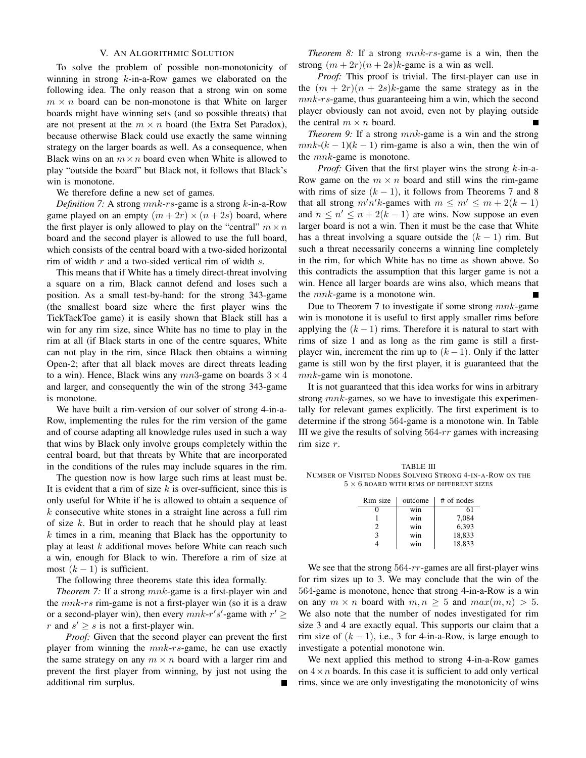## V. AN ALGORITHMIC SOLUTION

To solve the problem of possible non-monotonicity of winning in strong  $k$ -in-a-Row games we elaborated on the following idea. The only reason that a strong win on some  $m \times n$  board can be non-monotone is that White on larger boards might have winning sets (and so possible threats) that are not present at the  $m \times n$  board (the Extra Set Paradox), because otherwise Black could use exactly the same winning strategy on the larger boards as well. As a consequence, when Black wins on an  $m \times n$  board even when White is allowed to play "outside the board" but Black not, it follows that Black's win is monotone.

We therefore define a new set of games.

*Definition 7:* A strong  $mnk-rs$ -game is a strong k-in-a-Row game played on an empty  $(m + 2r) \times (n + 2s)$  board, where the first player is only allowed to play on the "central"  $m \times n$ board and the second player is allowed to use the full board, which consists of the central board with a two-sided horizontal rim of width  $r$  and a two-sided vertical rim of width  $s$ .

This means that if White has a timely direct-threat involving a square on a rim, Black cannot defend and loses such a position. As a small test-by-hand: for the strong 343-game (the smallest board size where the first player wins the TickTackToe game) it is easily shown that Black still has a win for any rim size, since White has no time to play in the rim at all (if Black starts in one of the centre squares, White can not play in the rim, since Black then obtains a winning Open-2; after that all black moves are direct threats leading to a win). Hence, Black wins any  $mn3$ -game on boards  $3 \times 4$ and larger, and consequently the win of the strong 343-game is monotone.

We have built a rim-version of our solver of strong 4-in-a-Row, implementing the rules for the rim version of the game and of course adapting all knowledge rules used in such a way that wins by Black only involve groups completely within the central board, but that threats by White that are incorporated in the conditions of the rules may include squares in the rim.

The question now is how large such rims at least must be. It is evident that a rim of size  $k$  is over-sufficient, since this is only useful for White if he is allowed to obtain a sequence of  $k$  consecutive white stones in a straight line across a full rim of size  $k$ . But in order to reach that he should play at least  $k$  times in a rim, meaning that Black has the opportunity to play at least  $k$  additional moves before White can reach such a win, enough for Black to win. Therefore a rim of size at most  $(k - 1)$  is sufficient.

The following three theorems state this idea formally.

*Theorem 7:* If a strong mnk-game is a first-player win and the  $mnk-rs$  rim-game is not a first-player win (so it is a draw or a second-player win), then every  $mnk-r's'$ -game with  $r' \geq$ r and  $s' \geq s$  is not a first-player win.

*Proof:* Given that the second player can prevent the first player from winning the  $mnk-rs$ -game, he can use exactly the same strategy on any  $m \times n$  board with a larger rim and prevent the first player from winning, by just not using the additional rim surplus.

*Theorem 8:* If a strong  $mnk-rs$ -game is a win, then the strong  $(m + 2r)(n + 2s)k$ -game is a win as well.

*Proof:* This proof is trivial. The first-player can use in the  $(m + 2r)(n + 2s)k$ -game the same strategy as in the  $mnk-rs$ -game, thus guaranteeing him a win, which the second player obviously can not avoid, even not by playing outside the central  $m \times n$  board.

*Theorem 9:* If a strong mnk-game is a win and the strong  $mnk-(k-1)(k-1)$  rim-game is also a win, then the win of the *mnk*-game is monotone.

*Proof:* Given that the first player wins the strong k-in-a-Row game on the  $m \times n$  board and still wins the rim-game with rims of size  $(k - 1)$ , it follows from Theorems 7 and 8 that all strong  $m'n'k$ -games with  $m \leq m' \leq m + 2(k - 1)$ and  $n \leq n' \leq n + 2(k - 1)$  are wins. Now suppose an even larger board is not a win. Then it must be the case that White has a threat involving a square outside the  $(k - 1)$  rim. But such a threat necessarily concerns a winning line completely in the rim, for which White has no time as shown above. So this contradicts the assumption that this larger game is not a win. Hence all larger boards are wins also, which means that the  $mnk$ -game is a monotone win.

Due to Theorem 7 to investigate if some strong mnk-game win is monotone it is useful to first apply smaller rims before applying the  $(k - 1)$  rims. Therefore it is natural to start with rims of size 1 and as long as the rim game is still a firstplayer win, increment the rim up to  $(k-1)$ . Only if the latter game is still won by the first player, it is guaranteed that the  $mnk$ -game win is monotone.

It is not guaranteed that this idea works for wins in arbitrary strong mnk-games, so we have to investigate this experimentally for relevant games explicitly. The first experiment is to determine if the strong 564-game is a monotone win. In Table III we give the results of solving  $564-rr$  games with increasing rim size r.

TABLE III NUMBER OF VISITED NODES SOLVING STRONG 4-IN-A-ROW ON THE  $5 \times 6$  board with rims of different sizes

| Rim size | outcome | # of nodes |
|----------|---------|------------|
|          | win     | 61         |
|          | win     | 7.084      |
| 7        | win     | 6.393      |
| 3        | win     | 18.833     |
|          | win     | 18,833     |

We see that the strong 564-rr-games are all first-player wins for rim sizes up to 3. We may conclude that the win of the 564-game is monotone, hence that strong 4-in-a-Row is a win on any  $m \times n$  board with  $m, n \geq 5$  and  $max(m, n) > 5$ . We also note that the number of nodes investigated for rim size 3 and 4 are exactly equal. This supports our claim that a rim size of  $(k - 1)$ , i.e., 3 for 4-in-a-Row, is large enough to investigate a potential monotone win.

We next applied this method to strong 4-in-a-Row games on  $4 \times n$  boards. In this case it is sufficient to add only vertical rims, since we are only investigating the monotonicity of wins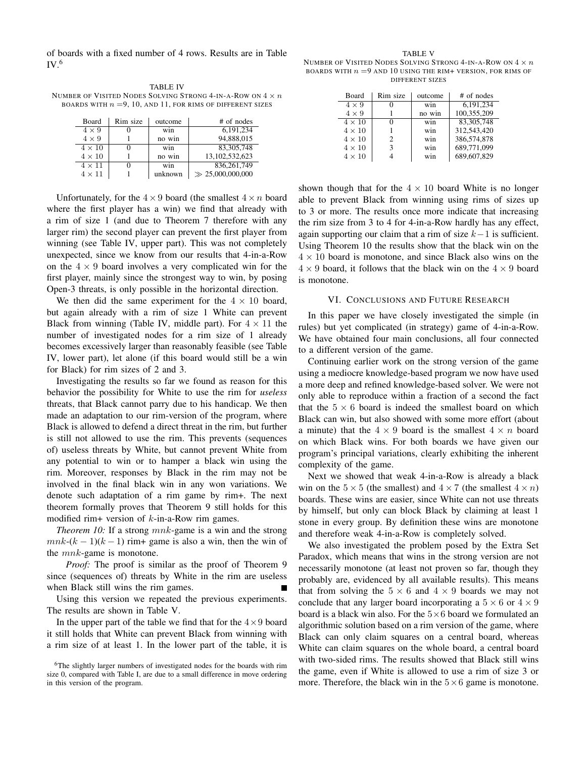of boards with a fixed number of 4 rows. Results are in Table  $IV<sup>6</sup>$ 

TABLE IV NUMBER OF VISITED NODES SOLVING STRONG 4-IN-A-ROW ON  $4 \times n$ BOARDS WITH  $n = 9$ , 10, AND 11, FOR RIMS OF DIFFERENT SIZES

| Board         | Rim size | outcome | # of nodes           |
|---------------|----------|---------|----------------------|
| $4 \times 9$  |          | win     | 6.191.234            |
| $4 \times 9$  |          | no win  | 94.888.015           |
| $4 \times 10$ |          | win     | 83, 305, 748         |
| $4 \times 10$ |          | no win  | 13,102,532,623       |
| $4 \times 11$ |          | win     | 836.261.749          |
| $4 \times 11$ |          | unknown | $\gg 25,000,000,000$ |

Unfortunately, for the  $4 \times 9$  board (the smallest  $4 \times n$  board where the first player has a win) we find that already with a rim of size 1 (and due to Theorem 7 therefore with any larger rim) the second player can prevent the first player from winning (see Table IV, upper part). This was not completely unexpected, since we know from our results that 4-in-a-Row on the  $4 \times 9$  board involves a very complicated win for the first player, mainly since the strongest way to win, by posing Open-3 threats, is only possible in the horizontal direction.

We then did the same experiment for the  $4 \times 10$  board, but again already with a rim of size 1 White can prevent Black from winning (Table IV, middle part). For  $4 \times 11$  the number of investigated nodes for a rim size of 1 already becomes excessively larger than reasonably feasible (see Table IV, lower part), let alone (if this board would still be a win for Black) for rim sizes of 2 and 3.

Investigating the results so far we found as reason for this behavior the possibility for White to use the rim for *useless* threats, that Black cannot parry due to his handicap. We then made an adaptation to our rim-version of the program, where Black is allowed to defend a direct threat in the rim, but further is still not allowed to use the rim. This prevents (sequences of) useless threats by White, but cannot prevent White from any potential to win or to hamper a black win using the rim. Moreover, responses by Black in the rim may not be involved in the final black win in any won variations. We denote such adaptation of a rim game by rim+. The next theorem formally proves that Theorem 9 still holds for this modified rim+ version of  $k$ -in-a-Row rim games.

*Theorem 10:* If a strong  $mnk$ -game is a win and the strong  $mnk-(k-1)(k-1)$  rim+ game is also a win, then the win of the  $mnk$ -game is monotone.

*Proof:* The proof is similar as the proof of Theorem 9 since (sequences of) threats by White in the rim are useless when Black still wins the rim games.

Using this version we repeated the previous experiments. The results are shown in Table V.

In the upper part of the table we find that for the  $4 \times 9$  board it still holds that White can prevent Black from winning with a rim size of at least 1. In the lower part of the table, it is

TABLE V NUMBER OF VISITED NODES SOLVING STRONG 4-IN-A-ROW ON  $4 \times n$ BOARDS WITH  $n = 9$  and 10 using the RIM+ version, for rims of DIFFERENT SIZES

| Board         | Rim size | outcome | # of nodes   |
|---------------|----------|---------|--------------|
| $4 \times 9$  |          | win     | 6.191.234    |
| $4 \times 9$  |          | no win  | 100,355,209  |
| $4 \times 10$ |          | win     | 83, 305, 748 |
| $4 \times 10$ |          | win     | 312.543.420  |
| $4 \times 10$ | 2        | win     | 386,574,878  |
| $4 \times 10$ |          | win     | 689,771,099  |
| $4 \times 10$ |          | win     | 689,607,829  |

shown though that for the  $4 \times 10$  board White is no longer able to prevent Black from winning using rims of sizes up to 3 or more. The results once more indicate that increasing the rim size from 3 to 4 for 4-in-a-Row hardly has any effect, again supporting our claim that a rim of size  $k-1$  is sufficient. Using Theorem 10 the results show that the black win on the  $4 \times 10$  board is monotone, and since Black also wins on the  $4 \times 9$  board, it follows that the black win on the  $4 \times 9$  board is monotone.

#### VI. CONCLUSIONS AND FUTURE RESEARCH

In this paper we have closely investigated the simple (in rules) but yet complicated (in strategy) game of 4-in-a-Row. We have obtained four main conclusions, all four connected to a different version of the game.

Continuing earlier work on the strong version of the game using a mediocre knowledge-based program we now have used a more deep and refined knowledge-based solver. We were not only able to reproduce within a fraction of a second the fact that the  $5 \times 6$  board is indeed the smallest board on which Black can win, but also showed with some more effort (about a minute) that the  $4 \times 9$  board is the smallest  $4 \times n$  board on which Black wins. For both boards we have given our program's principal variations, clearly exhibiting the inherent complexity of the game.

Next we showed that weak 4-in-a-Row is already a black win on the  $5 \times 5$  (the smallest) and  $4 \times 7$  (the smallest  $4 \times n$ ) boards. These wins are easier, since White can not use threats by himself, but only can block Black by claiming at least 1 stone in every group. By definition these wins are monotone and therefore weak 4-in-a-Row is completely solved.

We also investigated the problem posed by the Extra Set Paradox, which means that wins in the strong version are not necessarily monotone (at least not proven so far, though they probably are, evidenced by all available results). This means that from solving the  $5 \times 6$  and  $4 \times 9$  boards we may not conclude that any larger board incorporating a  $5 \times 6$  or  $4 \times 9$ board is a black win also. For the  $5\times 6$  board we formulated an algorithmic solution based on a rim version of the game, where Black can only claim squares on a central board, whereas White can claim squares on the whole board, a central board with two-sided rims. The results showed that Black still wins the game, even if White is allowed to use a rim of size 3 or more. Therefore, the black win in the  $5 \times 6$  game is monotone.

<sup>&</sup>lt;sup>6</sup>The slightly larger numbers of investigated nodes for the boards with rim size 0, compared with Table I, are due to a small difference in move ordering in this version of the program.